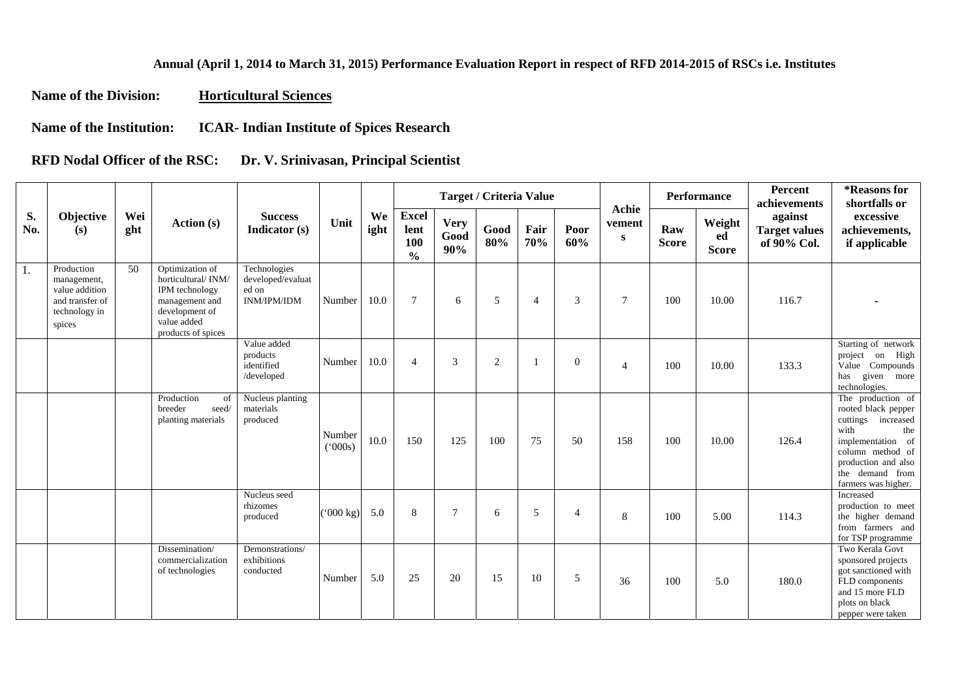## **Annual (April 1, 2014 to March 31, 2015) Performance Evaluation Report in respect of RFD 2014-2015 of RSCs i.e. Institutes**

**Name of the Division: Horticultural Sciences**

**Name of the Institution: ICAR- Indian Institute of Spices Research** 

**RFD Nodal Officer of the RSC: Dr. V. Srinivasan, Principal Scientist** 

|           |                                                                                           |            |                                                                                                                                  |                                                                  |                    |            |                                              |                            | <b>Target / Criteria Value</b> |             |                  | Achie          |                     | <b>Performance</b>           | Percent<br>achievements                        | *Reasons for<br>shortfalls or                                                                                                                                                           |
|-----------|-------------------------------------------------------------------------------------------|------------|----------------------------------------------------------------------------------------------------------------------------------|------------------------------------------------------------------|--------------------|------------|----------------------------------------------|----------------------------|--------------------------------|-------------|------------------|----------------|---------------------|------------------------------|------------------------------------------------|-----------------------------------------------------------------------------------------------------------------------------------------------------------------------------------------|
| S.<br>No. | Objective<br>(s)                                                                          | Wei<br>ght | Action (s)                                                                                                                       | <b>Success</b><br>Indicator (s)                                  | Unit               | We<br>ight | <b>Excel</b><br>lent<br>100<br>$\frac{0}{0}$ | <b>Very</b><br>Good<br>90% | Good<br>80%                    | Fair<br>70% | Poor<br>60%      | vement<br>S    | Raw<br><b>Score</b> | Weight<br>ed<br><b>Score</b> | against<br><b>Target values</b><br>of 90% Col. | excessive<br>achievements,<br>if applicable                                                                                                                                             |
| 1.        | Production<br>management,<br>value addition<br>and transfer of<br>technology in<br>spices | 50         | Optimization of<br>horticultural/INM/<br>IPM technology<br>management and<br>development of<br>value added<br>products of spices | Technologies<br>developed/evaluat<br>ed on<br><b>INM/IPM/IDM</b> | Number             | 10.0       | $\tau$                                       | 6                          | 5                              | 4           | 3                | $\overline{7}$ | 100                 | 10.00                        | 116.7                                          |                                                                                                                                                                                         |
|           |                                                                                           |            |                                                                                                                                  | Value added<br>products<br>identified<br>/developed              | Number             | 10.0       | $\overline{4}$                               | 3                          | $\overline{c}$                 |             | $\boldsymbol{0}$ | $\overline{4}$ | 100                 | 10.00                        | 133.3                                          | Starting of network<br>project on High<br>Value Compounds<br>given more<br>has<br>technologies.                                                                                         |
|           |                                                                                           |            | Production<br>of<br>breeder<br>seed/<br>planting materials                                                                       | Nucleus planting<br>materials<br>produced                        | Number<br>(000s)   | 10.0       | 150                                          | 125                        | 100                            | 75          | 50               | 158            | 100                 | 10.00                        | 126.4                                          | The production of<br>rooted black pepper<br>cuttings increased<br>with<br>the<br>implementation of<br>column method of<br>production and also<br>the demand from<br>farmers was higher. |
|           |                                                                                           |            |                                                                                                                                  | Nucleus seed<br>rhizomes<br>produced                             | $(000 \text{ kg})$ | 5.0        | 8                                            | $\overline{7}$             | 6                              | 5           | $\overline{4}$   | $\,8\,$        | 100                 | 5.00                         | 114.3                                          | Increased<br>production to meet<br>the higher demand<br>from farmers and<br>for TSP programme                                                                                           |
|           |                                                                                           |            | Dissemination/<br>commercialization<br>of technologies                                                                           | Demonstrations/<br>exhibitions<br>conducted                      | Number             | 5.0        | 25                                           | 20                         | 15                             | 10          | 5                | 36             | 100                 | 5.0                          | 180.0                                          | Two Kerala Govt<br>sponsored projects<br>got sanctioned with<br>FLD components<br>and 15 more FLD<br>plots on black<br>pepper were taken                                                |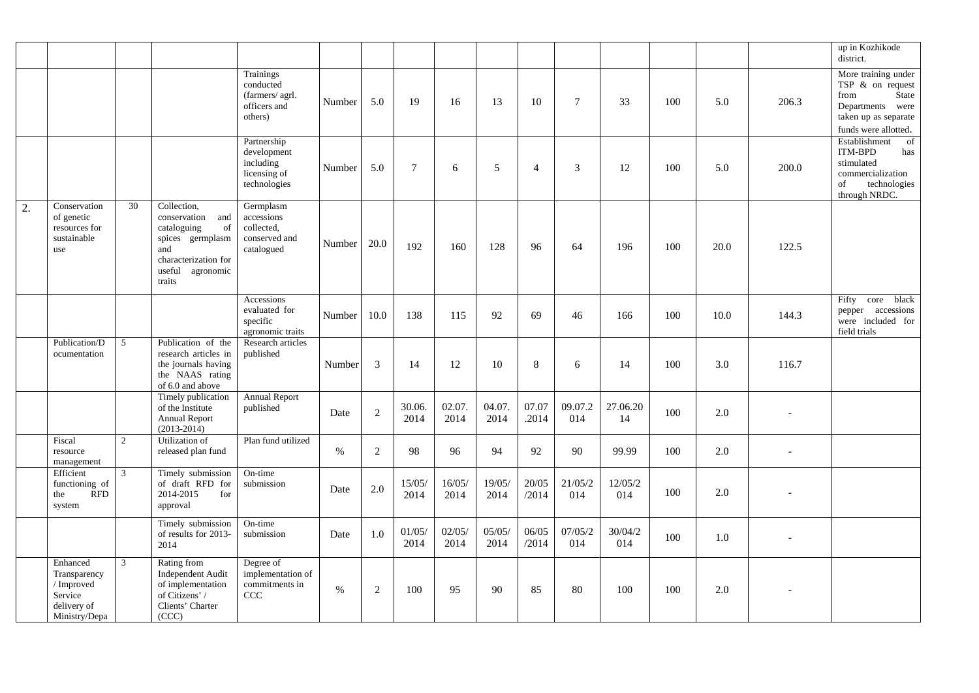|    |                                                                                   |                |                                                                                                                                          |                                                                         |        |                |                |                |                |                |                |                |     |      |                | up in Kozhikode<br>district.                                                                                                    |
|----|-----------------------------------------------------------------------------------|----------------|------------------------------------------------------------------------------------------------------------------------------------------|-------------------------------------------------------------------------|--------|----------------|----------------|----------------|----------------|----------------|----------------|----------------|-----|------|----------------|---------------------------------------------------------------------------------------------------------------------------------|
|    |                                                                                   |                |                                                                                                                                          | Trainings<br>conducted<br>(farmers/ agrl.<br>officers and<br>others)    | Number | 5.0            | 19             | 16             | 13             | 10             | $\tau$         | 33             | 100 | 5.0  | 206.3          | More training under<br>TSP $\&$ on request<br>from<br>State<br>Departments were<br>taken up as separate<br>funds were allotted. |
|    |                                                                                   |                |                                                                                                                                          | Partnership<br>development<br>including<br>licensing of<br>technologies | Number | 5.0            | $\tau$         | 6              | 5              | $\overline{4}$ | 3              | 12             | 100 | 5.0  | 200.0          | Establishment<br>of<br><b>ITM-BPD</b><br>has<br>stimulated<br>commercialization<br>of<br>technologies<br>through NRDC.          |
| 2. | Conservation<br>of genetic<br>resources for<br>sustainable<br>use                 | 30             | Collection,<br>conservation<br>and<br>cataloguing<br>of<br>spices germplasm<br>and<br>characterization for<br>useful agronomic<br>traits | Germplasm<br>accessions<br>collected,<br>conserved and<br>catalogued    | Number | 20.0           | 192            | 160            | 128            | 96             | 64             | 196            | 100 | 20.0 | 122.5          |                                                                                                                                 |
|    |                                                                                   |                |                                                                                                                                          | Accessions<br>evaluated for<br>specific<br>agronomic traits             | Number | 10.0           | 138            | 115            | 92             | 69             | 46             | 166            | 100 | 10.0 | 144.3          | core<br>black<br>Fifty<br>pepper accessions<br>were included for<br>field trials                                                |
|    | Publication/D<br>ocumentation                                                     | 5              | Publication of the<br>research articles in<br>the journals having<br>the NAAS rating<br>of 6.0 and above                                 | Research articles<br>published                                          | Number | 3              | 14             | 12             | 10             | 8              | 6              | 14             | 100 | 3.0  | 116.7          |                                                                                                                                 |
|    |                                                                                   |                | Timely publication<br>of the Institute<br><b>Annual Report</b><br>$(2013 - 2014)$                                                        | <b>Annual Report</b><br>published                                       | Date   | $\overline{2}$ | 30.06.<br>2014 | 02.07.<br>2014 | 04.07.<br>2014 | 07.07<br>.2014 | 09.07.2<br>014 | 27.06.20<br>14 | 100 | 2.0  |                |                                                                                                                                 |
|    | Fiscal<br>resource<br>management                                                  | $\overline{2}$ | Utilization of<br>released plan fund                                                                                                     | Plan fund utilized                                                      | $\%$   | 2              | 98             | 96             | 94             | 92             | 90             | 99.99          | 100 | 2.0  | $\overline{a}$ |                                                                                                                                 |
|    | Efficient<br>functioning of<br><b>RFD</b><br>the<br>system                        | $\mathfrak{Z}$ | Timely submission<br>of draft RFD for<br>2014-2015<br>for<br>approval                                                                    | On-time<br>submission                                                   | Date   | 2.0            | 15/05/<br>2014 | 16/05/<br>2014 | 19/05/<br>2014 | 20/05<br>/2014 | 21/05/2<br>014 | 12/05/2<br>014 | 100 | 2.0  |                |                                                                                                                                 |
|    |                                                                                   |                | Timely submission<br>of results for 2013-<br>2014                                                                                        | On-time<br>submission                                                   | Date   | 1.0            | 01/05/<br>2014 | 02/05/<br>2014 | 05/05/<br>2014 | 06/05<br>/2014 | 07/05/2<br>014 | 30/04/2<br>014 | 100 | 1.0  |                |                                                                                                                                 |
|    | Enhanced<br>Transparency<br>/ Improved<br>Service<br>delivery of<br>Ministry/Depa | 3              | Rating from<br><b>Independent Audit</b><br>of implementation<br>of Citizens' /<br>Clients' Charter<br>(CCC)                              | Degree of<br>implementation of<br>commitments in<br>CCC                 | $\%$   | 2              | 100            | 95             | 90             | 85             | 80             | 100            | 100 | 2.0  |                |                                                                                                                                 |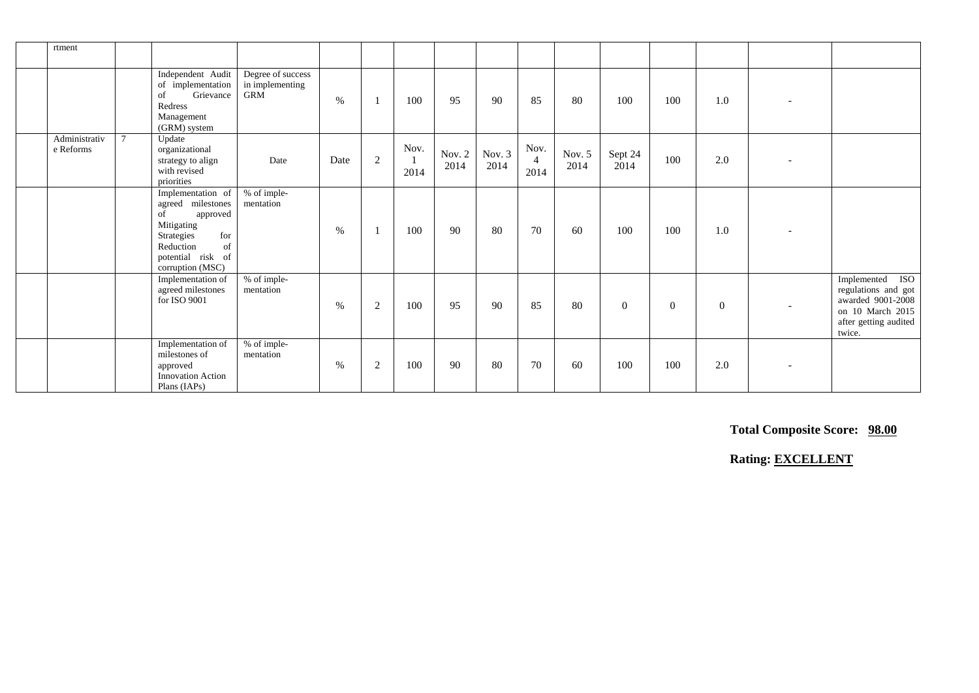| rtment                     |        |                                                                                                                                                         |                                                    |      |                |              |                  |                  |                                |                  |                 |                |                |                                                                                                                              |
|----------------------------|--------|---------------------------------------------------------------------------------------------------------------------------------------------------------|----------------------------------------------------|------|----------------|--------------|------------------|------------------|--------------------------------|------------------|-----------------|----------------|----------------|------------------------------------------------------------------------------------------------------------------------------|
|                            |        | Independent Audit<br>of implementation<br>Grievance<br>of<br>Redress<br>Management<br>(GRM) system                                                      | Degree of success<br>in implementing<br><b>GRM</b> | %    |                | 100          | 95               | 90               | 85                             | 80               | 100             | 100            | 1.0            |                                                                                                                              |
| Administrativ<br>e Reforms | $\tau$ | Update<br>organizational<br>strategy to align<br>with revised<br>priorities                                                                             | Date                                               | Date | $\overline{c}$ | Nov.<br>2014 | Nov. $2$<br>2014 | Nov. $3$<br>2014 | Nov.<br>$\overline{4}$<br>2014 | Nov. $5$<br>2014 | Sept 24<br>2014 | 100            | 2.0            |                                                                                                                              |
|                            |        | Implementation of<br>agreed milestones<br>of<br>approved<br>Mitigating<br>for<br>Strategies<br>Reduction<br>of<br>potential risk of<br>corruption (MSC) | % of imple-<br>mentation                           | %    |                | 100          | 90               | 80               | 70                             | 60               | 100             | 100            | 1.0            |                                                                                                                              |
|                            |        | Implementation of<br>agreed milestones<br>for ISO 9001                                                                                                  | % of imple-<br>mentation                           | %    | 2              | 100          | 95               | 90               | 85                             | 80               | $\overline{0}$  | $\overline{0}$ | $\overline{0}$ | <b>ISO</b><br>Implemented<br>regulations and got<br>awarded 9001-2008<br>on 10 March 2015<br>after getting audited<br>twice. |
|                            |        | Implementation of<br>milestones of<br>approved<br><b>Innovation Action</b><br>Plans (IAPs)                                                              | % of imple-<br>mentation                           | %    | 2              | 100          | 90               | 80               | 70                             | 60               | 100             | 100            | 2.0            |                                                                                                                              |

 **Total Composite Score: 98.00**

 **Rating: EXCELLENT**